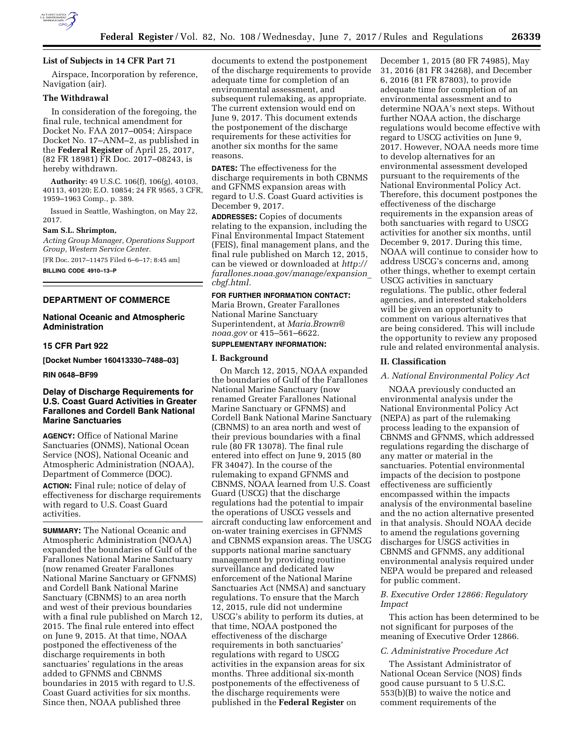

### **List of Subjects in 14 CFR Part 71**

Airspace, Incorporation by reference, Navigation (air).

### **The Withdrawal**

In consideration of the foregoing, the final rule, technical amendment for Docket No. FAA 2017–0054; Airspace Docket No. 17–ANM–2, as published in the **Federal Register** of April 25, 2017, (82 FR 18981) FR Doc. 2017–08243, is hereby withdrawn.

**Authority:** 49 U.S.C. 106(f), 106(g), 40103, 40113, 40120; E.O. 10854; 24 FR 9565, 3 CFR, 1959–1963 Comp., p. 389.

Issued in Seattle, Washington, on May 22, 2017.

### **Sam S.L. Shrimpton,**

*Acting Group Manager, Operations Support Group, Western Service Center.*  [FR Doc. 2017–11475 Filed 6–6–17; 8:45 am] **BILLING CODE 4910–13–P** 

### **DEPARTMENT OF COMMERCE**

### **National Oceanic and Atmospheric Administration**

### **15 CFR Part 922**

**[Docket Number 160413330–7488–03]** 

#### **RIN 0648–BF99**

### **Delay of Discharge Requirements for U.S. Coast Guard Activities in Greater Farallones and Cordell Bank National Marine Sanctuaries**

**AGENCY:** Office of National Marine Sanctuaries (ONMS), National Ocean Service (NOS), National Oceanic and Atmospheric Administration (NOAA), Department of Commerce (DOC). **ACTION:** Final rule; notice of delay of effectiveness for discharge requirements with regard to U.S. Coast Guard activities.

**SUMMARY:** The National Oceanic and Atmospheric Administration (NOAA) expanded the boundaries of Gulf of the Farallones National Marine Sanctuary (now renamed Greater Farallones National Marine Sanctuary or GFNMS) and Cordell Bank National Marine Sanctuary (CBNMS) to an area north and west of their previous boundaries with a final rule published on March 12, 2015. The final rule entered into effect on June 9, 2015. At that time, NOAA postponed the effectiveness of the discharge requirements in both sanctuaries' regulations in the areas added to GFNMS and CBNMS boundaries in 2015 with regard to U.S. Coast Guard activities for six months. Since then, NOAA published three

documents to extend the postponement of the discharge requirements to provide adequate time for completion of an environmental assessment, and subsequent rulemaking, as appropriate. The current extension would end on June 9, 2017. This document extends the postponement of the discharge requirements for these activities for another six months for the same reasons.

**DATES:** The effectiveness for the discharge requirements in both CBNMS and GFNMS expansion areas with regard to U.S. Coast Guard activities is December 9, 2017.

**ADDRESSES:** Copies of documents relating to the expansion, including the Final Environmental Impact Statement (FEIS), final management plans, and the final rule published on March 12, 2015, can be viewed or downloaded at *[http://](http://farallones.noaa.gov/manage/expansion_cbgf.html)  [farallones.noaa.gov/manage/expansion](http://farallones.noaa.gov/manage/expansion_cbgf.html)*\_ *[cbgf.html.](http://farallones.noaa.gov/manage/expansion_cbgf.html)* 

#### **FOR FURTHER INFORMATION CONTACT:**

Maria Brown, Greater Farallones National Marine Sanctuary Superintendent, at *[Maria.Brown@](mailto:Maria.Brown@noaa.gov) [noaa.gov](mailto:Maria.Brown@noaa.gov)* or 415–561–6622.

### **SUPPLEMENTARY INFORMATION:**

### **I. Background**

On March 12, 2015, NOAA expanded the boundaries of Gulf of the Farallones National Marine Sanctuary (now renamed Greater Farallones National Marine Sanctuary or GFNMS) and Cordell Bank National Marine Sanctuary (CBNMS) to an area north and west of their previous boundaries with a final rule (80 FR 13078). The final rule entered into effect on June 9, 2015 (80 FR 34047). In the course of the rulemaking to expand GFNMS and CBNMS, NOAA learned from U.S. Coast Guard (USCG) that the discharge regulations had the potential to impair the operations of USCG vessels and aircraft conducting law enforcement and on-water training exercises in GFNMS and CBNMS expansion areas. The USCG supports national marine sanctuary management by providing routine surveillance and dedicated law enforcement of the National Marine Sanctuaries Act (NMSA) and sanctuary regulations. To ensure that the March 12, 2015, rule did not undermine USCG's ability to perform its duties, at that time, NOAA postponed the effectiveness of the discharge requirements in both sanctuaries' regulations with regard to USCG activities in the expansion areas for six months. Three additional six-month postponements of the effectiveness of the discharge requirements were published in the **Federal Register** on

December 1, 2015 (80 FR 74985), May 31, 2016 (81 FR 34268), and December 6, 2016 (81 FR 87803), to provide adequate time for completion of an environmental assessment and to determine NOAA's next steps. Without further NOAA action, the discharge regulations would become effective with regard to USCG activities on June 9, 2017. However, NOAA needs more time to develop alternatives for an environmental assessment developed pursuant to the requirements of the National Environmental Policy Act. Therefore, this document postpones the effectiveness of the discharge requirements in the expansion areas of both sanctuaries with regard to USCG activities for another six months, until December 9, 2017. During this time, NOAA will continue to consider how to address USCG's concerns and, among other things, whether to exempt certain USCG activities in sanctuary regulations. The public, other federal agencies, and interested stakeholders will be given an opportunity to comment on various alternatives that are being considered. This will include the opportunity to review any proposed rule and related environmental analysis.

#### **II. Classification**

### *A. National Environmental Policy Act*

NOAA previously conducted an environmental analysis under the National Environmental Policy Act (NEPA) as part of the rulemaking process leading to the expansion of CBNMS and GFNMS, which addressed regulations regarding the discharge of any matter or material in the sanctuaries. Potential environmental impacts of the decision to postpone effectiveness are sufficiently encompassed within the impacts analysis of the environmental baseline and the no action alternative presented in that analysis. Should NOAA decide to amend the regulations governing discharges for USGS activities in CBNMS and GFNMS, any additional environmental analysis required under NEPA would be prepared and released for public comment.

### *B. Executive Order 12866: Regulatory Impact*

This action has been determined to be not significant for purposes of the meaning of Executive Order 12866.

### *C. Administrative Procedure Act*

The Assistant Administrator of National Ocean Service (NOS) finds good cause pursuant to 5 U.S.C. 553(b)(B) to waive the notice and comment requirements of the